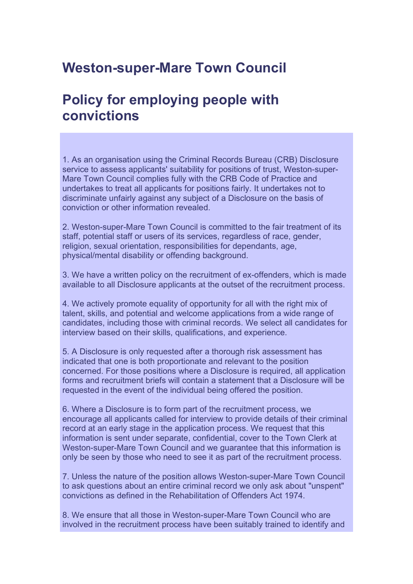## **Weston-super-Mare Town Council**

## **Policy for employing people with convictions**

1. As an organisation using the Criminal Records Bureau (CRB) Disclosure service to assess applicants' suitability for positions of trust, Weston-super-Mare Town Council complies fully with the CRB Code of Practice and undertakes to treat all applicants for positions fairly. It undertakes not to discriminate unfairly against any subject of a Disclosure on the basis of conviction or other information revealed.

2. Weston-super-Mare Town Council is committed to the fair treatment of its staff, potential staff or users of its services, regardless of race, gender, religion, sexual orientation, responsibilities for dependants, age, physical/mental disability or offending background.

3. We have a written policy on the recruitment of ex-offenders, which is made available to all Disclosure applicants at the outset of the recruitment process.

4. We actively promote equality of opportunity for all with the right mix of talent, skills, and potential and welcome applications from a wide range of candidates, including those with criminal records. We select all candidates for interview based on their skills, qualifications, and experience.

5. A Disclosure is only requested after a thorough risk assessment has indicated that one is both proportionate and relevant to the position concerned. For those positions where a Disclosure is required, all application forms and recruitment briefs will contain a statement that a Disclosure will be requested in the event of the individual being offered the position.

6. Where a Disclosure is to form part of the recruitment process, we encourage all applicants called for interview to provide details of their criminal record at an early stage in the application process. We request that this information is sent under separate, confidential, cover to the Town Clerk at Weston-super-Mare Town Council and we guarantee that this information is only be seen by those who need to see it as part of the recruitment process.

7. Unless the nature of the position allows Weston-super-Mare Town Council to ask questions about an entire criminal record we only ask about "unspent" convictions as defined in the Rehabilitation of Offenders Act 1974.

8. We ensure that all those in Weston-super-Mare Town Council who are involved in the recruitment process have been suitably trained to identify and